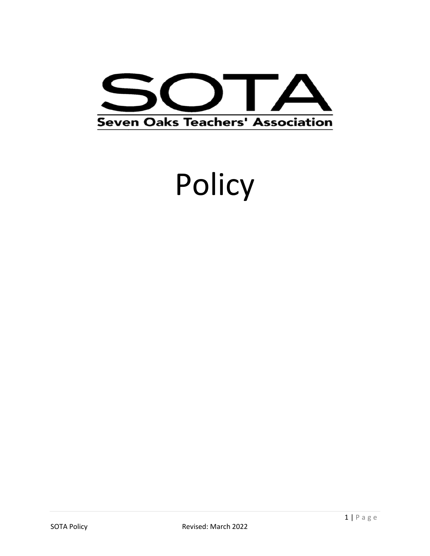

# Policy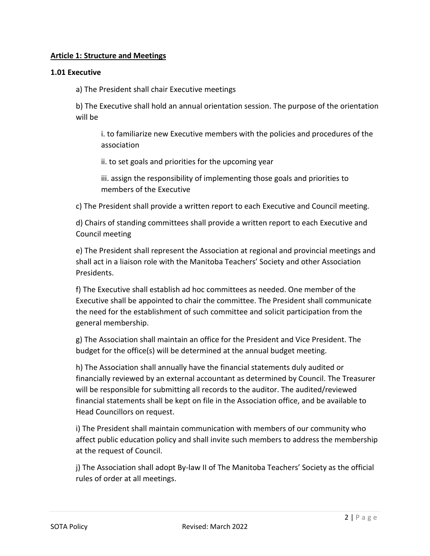# **Article 1: Structure and Meetings**

## **1.01 Executive**

a) The President shall chair Executive meetings

b) The Executive shall hold an annual orientation session. The purpose of the orientation will be

i. to familiarize new Executive members with the policies and procedures of the association

ii. to set goals and priorities for the upcoming year

iii. assign the responsibility of implementing those goals and priorities to members of the Executive

c) The President shall provide a written report to each Executive and Council meeting.

d) Chairs of standing committees shall provide a written report to each Executive and Council meeting

e) The President shall represent the Association at regional and provincial meetings and shall act in a liaison role with the Manitoba Teachers' Society and other Association Presidents.

f) The Executive shall establish ad hoc committees as needed. One member of the Executive shall be appointed to chair the committee. The President shall communicate the need for the establishment of such committee and solicit participation from the general membership.

g) The Association shall maintain an office for the President and Vice President. The budget for the office(s) will be determined at the annual budget meeting.

h) The Association shall annually have the financial statements duly audited or financially reviewed by an external accountant as determined by Council. The Treasurer will be responsible for submitting all records to the auditor. The audited/reviewed financial statements shall be kept on file in the Association office, and be available to Head Councillors on request.

i) The President shall maintain communication with members of our community who affect public education policy and shall invite such members to address the membership at the request of Council.

j) The Association shall adopt By-law II of The Manitoba Teachers' Society as the official rules of order at all meetings.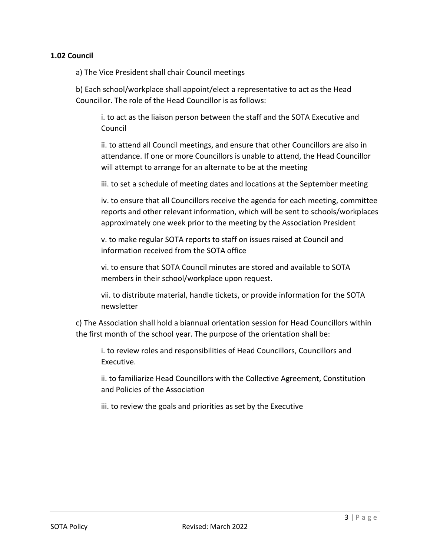## **1.02 Council**

a) The Vice President shall chair Council meetings

b) Each school/workplace shall appoint/elect a representative to act as the Head Councillor. The role of the Head Councillor is as follows:

i. to act as the liaison person between the staff and the SOTA Executive and Council

ii. to attend all Council meetings, and ensure that other Councillors are also in attendance. If one or more Councillors is unable to attend, the Head Councillor will attempt to arrange for an alternate to be at the meeting

iii. to set a schedule of meeting dates and locations at the September meeting

iv. to ensure that all Councillors receive the agenda for each meeting, committee reports and other relevant information, which will be sent to schools/workplaces approximately one week prior to the meeting by the Association President

v. to make regular SOTA reports to staff on issues raised at Council and information received from the SOTA office

vi. to ensure that SOTA Council minutes are stored and available to SOTA members in their school/workplace upon request.

vii. to distribute material, handle tickets, or provide information for the SOTA newsletter

c) The Association shall hold a biannual orientation session for Head Councillors within the first month of the school year. The purpose of the orientation shall be:

i. to review roles and responsibilities of Head Councillors, Councillors and Executive.

ii. to familiarize Head Councillors with the Collective Agreement, Constitution and Policies of the Association

iii. to review the goals and priorities as set by the Executive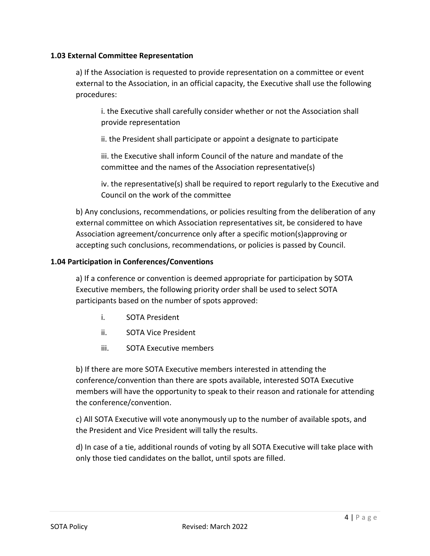## **1.03 External Committee Representation**

a) If the Association is requested to provide representation on a committee or event external to the Association, in an official capacity, the Executive shall use the following procedures:

i. the Executive shall carefully consider whether or not the Association shall provide representation

ii. the President shall participate or appoint a designate to participate

iii. the Executive shall inform Council of the nature and mandate of the committee and the names of the Association representative(s)

iv. the representative(s) shall be required to report regularly to the Executive and Council on the work of the committee

b) Any conclusions, recommendations, or policies resulting from the deliberation of any external committee on which Association representatives sit, be considered to have Association agreement/concurrence only after a specific motion(s)approving or accepting such conclusions, recommendations, or policies is passed by Council.

## **1.04 Participation in Conferences/Conventions**

a) If a conference or convention is deemed appropriate for participation by SOTA Executive members, the following priority order shall be used to select SOTA participants based on the number of spots approved:

- i. SOTA President
- ii. SOTA Vice President
- iii. SOTA Executive members

b) If there are more SOTA Executive members interested in attending the conference/convention than there are spots available, interested SOTA Executive members will have the opportunity to speak to their reason and rationale for attending the conference/convention.

c) All SOTA Executive will vote anonymously up to the number of available spots, and the President and Vice President will tally the results.

d) In case of a tie, additional rounds of voting by all SOTA Executive will take place with only those tied candidates on the ballot, until spots are filled.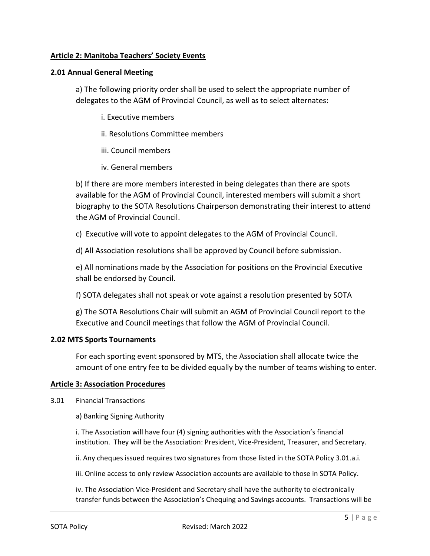## **Article 2: Manitoba Teachers' Society Events**

## **2.01 Annual General Meeting**

a) The following priority order shall be used to select the appropriate number of delegates to the AGM of Provincial Council, as well as to select alternates:

- i. Executive members
- ii. Resolutions Committee members
- iii. Council members
- iv. General members

b) If there are more members interested in being delegates than there are spots available for the AGM of Provincial Council, interested members will submit a short biography to the SOTA Resolutions Chairperson demonstrating their interest to attend the AGM of Provincial Council.

c) Executive will vote to appoint delegates to the AGM of Provincial Council.

d) All Association resolutions shall be approved by Council before submission.

e) All nominations made by the Association for positions on the Provincial Executive shall be endorsed by Council.

f) SOTA delegates shall not speak or vote against a resolution presented by SOTA

g) The SOTA Resolutions Chair will submit an AGM of Provincial Council report to the Executive and Council meetings that follow the AGM of Provincial Council.

#### **2.02 MTS Sports Tournaments**

For each sporting event sponsored by MTS, the Association shall allocate twice the amount of one entry fee to be divided equally by the number of teams wishing to enter.

#### **Article 3: Association Procedures**

3.01 Financial Transactions

a) Banking Signing Authority

i. The Association will have four (4) signing authorities with the Association's financial institution. They will be the Association: President, Vice-President, Treasurer, and Secretary.

ii. Any cheques issued requires two signatures from those listed in the SOTA Policy 3.01.a.i.

iii. Online access to only review Association accounts are available to those in SOTA Policy.

iv. The Association Vice-President and Secretary shall have the authority to electronically transfer funds between the Association's Chequing and Savings accounts. Transactions will be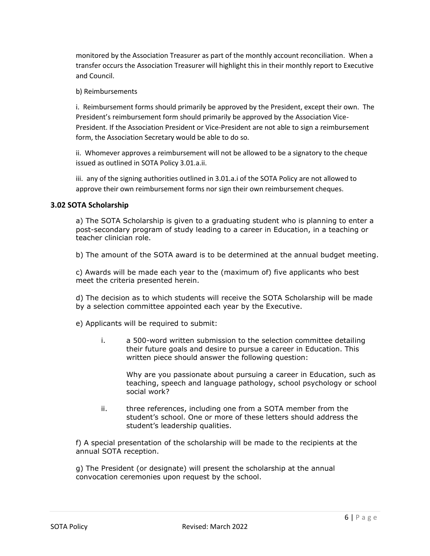monitored by the Association Treasurer as part of the monthly account reconciliation. When a transfer occurs the Association Treasurer will highlight this in their monthly report to Executive and Council.

#### b) Reimbursements

i. Reimbursement forms should primarily be approved by the President, except their own. The President's reimbursement form should primarily be approved by the Association Vice-President. If the Association President or Vice-President are not able to sign a reimbursement form, the Association Secretary would be able to do so.

ii. Whomever approves a reimbursement will not be allowed to be a signatory to the cheque issued as outlined in SOTA Policy 3.01.a.ii.

iii. any of the signing authorities outlined in 3.01.a.i of the SOTA Policy are not allowed to approve their own reimbursement forms nor sign their own reimbursement cheques.

#### **3.02 SOTA Scholarship**

a) The SOTA Scholarship is given to a graduating student who is planning to enter a post-secondary program of study leading to a career in Education, in a teaching or teacher clinician role.

b) The amount of the SOTA award is to be determined at the annual budget meeting.

c) Awards will be made each year to the (maximum of) five applicants who best meet the criteria presented herein.

d) The decision as to which students will receive the SOTA Scholarship will be made by a selection committee appointed each year by the Executive.

e) Applicants will be required to submit:

i. a 500-word written submission to the selection committee detailing their future goals and desire to pursue a career in Education. This written piece should answer the following question:

Why are you passionate about pursuing a career in Education, such as teaching, speech and language pathology, school psychology or school social work?

ii. three references, including one from a SOTA member from the student's school. One or more of these letters should address the student's leadership qualities.

f) A special presentation of the scholarship will be made to the recipients at the annual SOTA reception.

g) The President (or designate) will present the scholarship at the annual convocation ceremonies upon request by the school.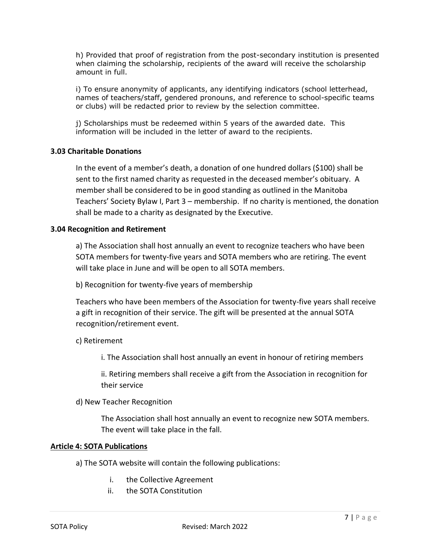h) Provided that proof of registration from the post-secondary institution is presented when claiming the scholarship, recipients of the award will receive the scholarship amount in full.

i) To ensure anonymity of applicants, any identifying indicators (school letterhead. names of teachers/staff, gendered pronouns, and reference to school-specific teams or clubs) will be redacted prior to review by the selection committee.

j) Scholarships must be redeemed within 5 years of the awarded date. This information will be included in the letter of award to the recipients.

# **3.03 Charitable Donations**

In the event of a member's death, a donation of one hundred dollars (\$100) shall be sent to the first named charity as requested in the deceased member's obituary. A member shall be considered to be in good standing as outlined in the Manitoba Teachers' Society Bylaw I, Part 3 – membership. If no charity is mentioned, the donation shall be made to a charity as designated by the Executive.

## **3.04 Recognition and Retirement**

a) The Association shall host annually an event to recognize teachers who have been SOTA members for twenty-five years and SOTA members who are retiring. The event will take place in June and will be open to all SOTA members.

b) Recognition for twenty-five years of membership

Teachers who have been members of the Association for twenty-five years shall receive a gift in recognition of their service. The gift will be presented at the annual SOTA recognition/retirement event.

c) Retirement

i. The Association shall host annually an event in honour of retiring members

ii. Retiring members shall receive a gift from the Association in recognition for their service

d) New Teacher Recognition

The Association shall host annually an event to recognize new SOTA members. The event will take place in the fall.

#### **Article 4: SOTA Publications**

- a) The SOTA website will contain the following publications:
	- i. the Collective Agreement
	- ii. the SOTA Constitution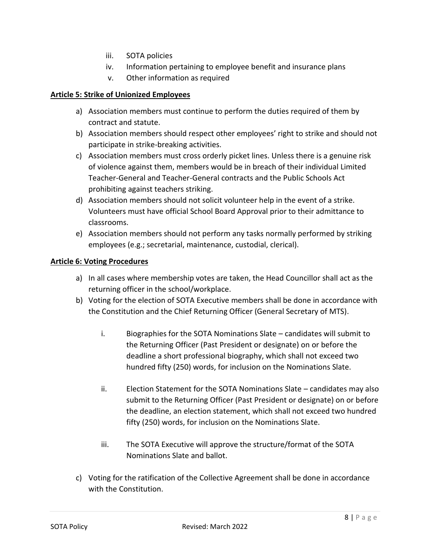- iii. SOTA policies
- iv. Information pertaining to employee benefit and insurance plans
- v. Other information as required

## **Article 5: Strike of Unionized Employees**

- a) Association members must continue to perform the duties required of them by contract and statute.
- b) Association members should respect other employees' right to strike and should not participate in strike-breaking activities.
- c) Association members must cross orderly picket lines. Unless there is a genuine risk of violence against them, members would be in breach of their individual Limited Teacher-General and Teacher-General contracts and the Public Schools Act prohibiting against teachers striking.
- d) Association members should not solicit volunteer help in the event of a strike. Volunteers must have official School Board Approval prior to their admittance to classrooms.
- e) Association members should not perform any tasks normally performed by striking employees (e.g.; secretarial, maintenance, custodial, clerical).

# **Article 6: Voting Procedures**

- a) In all cases where membership votes are taken, the Head Councillor shall act as the returning officer in the school/workplace.
- b) Voting for the election of SOTA Executive members shall be done in accordance with the Constitution and the Chief Returning Officer (General Secretary of MTS).
	- i. Biographies for the SOTA Nominations Slate candidates will submit to the Returning Officer (Past President or designate) on or before the deadline a short professional biography, which shall not exceed two hundred fifty (250) words, for inclusion on the Nominations Slate.
	- ii. Election Statement for the SOTA Nominations Slate candidates may also submit to the Returning Officer (Past President or designate) on or before the deadline, an election statement, which shall not exceed two hundred fifty (250) words, for inclusion on the Nominations Slate.
	- iii. The SOTA Executive will approve the structure/format of the SOTA Nominations Slate and ballot.
- c) Voting for the ratification of the Collective Agreement shall be done in accordance with the Constitution.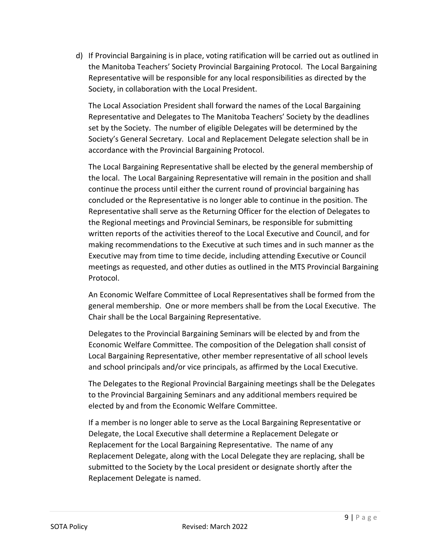d) If Provincial Bargaining is in place, voting ratification will be carried out as outlined in the Manitoba Teachers' Society Provincial Bargaining Protocol. The Local Bargaining Representative will be responsible for any local responsibilities as directed by the Society, in collaboration with the Local President.

The Local Association President shall forward the names of the Local Bargaining Representative and Delegates to The Manitoba Teachers' Society by the deadlines set by the Society. The number of eligible Delegates will be determined by the Society's General Secretary. Local and Replacement Delegate selection shall be in accordance with the Provincial Bargaining Protocol.

The Local Bargaining Representative shall be elected by the general membership of the local. The Local Bargaining Representative will remain in the position and shall continue the process until either the current round of provincial bargaining has concluded or the Representative is no longer able to continue in the position. The Representative shall serve as the Returning Officer for the election of Delegates to the Regional meetings and Provincial Seminars, be responsible for submitting written reports of the activities thereof to the Local Executive and Council, and for making recommendations to the Executive at such times and in such manner as the Executive may from time to time decide, including attending Executive or Council meetings as requested, and other duties as outlined in the MTS Provincial Bargaining Protocol.

An Economic Welfare Committee of Local Representatives shall be formed from the general membership. One or more members shall be from the Local Executive. The Chair shall be the Local Bargaining Representative.

Delegates to the Provincial Bargaining Seminars will be elected by and from the Economic Welfare Committee. The composition of the Delegation shall consist of Local Bargaining Representative, other member representative of all school levels and school principals and/or vice principals, as affirmed by the Local Executive.

The Delegates to the Regional Provincial Bargaining meetings shall be the Delegates to the Provincial Bargaining Seminars and any additional members required be elected by and from the Economic Welfare Committee.

If a member is no longer able to serve as the Local Bargaining Representative or Delegate, the Local Executive shall determine a Replacement Delegate or Replacement for the Local Bargaining Representative. The name of any Replacement Delegate, along with the Local Delegate they are replacing, shall be submitted to the Society by the Local president or designate shortly after the Replacement Delegate is named.